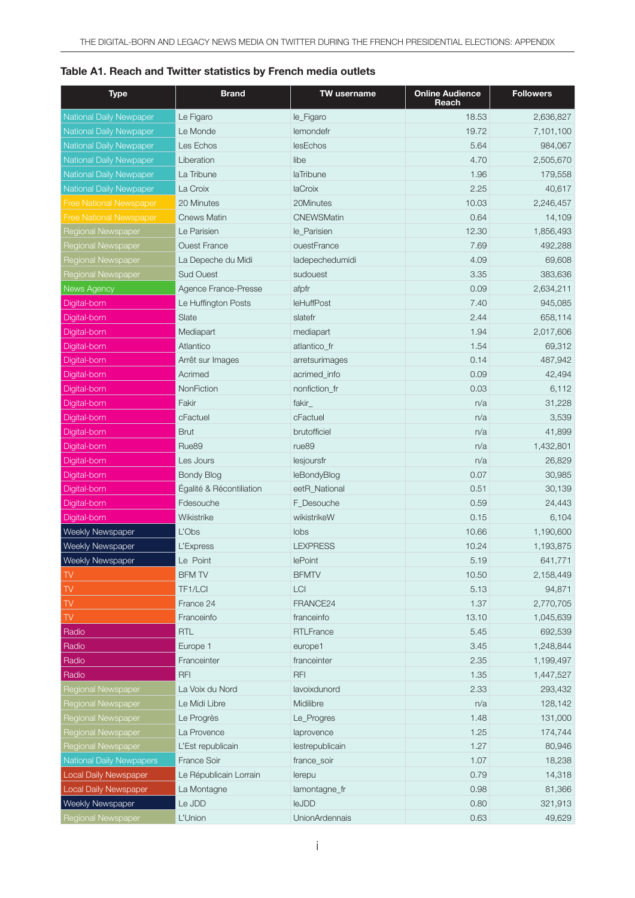| Table A1. Reach and Twitter statistics by French media outlets |
|----------------------------------------------------------------|
|----------------------------------------------------------------|

| <b>Type</b>                     | <b>Brand</b>             | <b>TW</b> username    | <b>Online Audience</b><br>Reach | <b>Followers</b> |
|---------------------------------|--------------------------|-----------------------|---------------------------------|------------------|
| National Daily Newpaper         | Le Figaro                | le_Figaro             | 18.53                           | 2,636,827        |
| <b>National Daily Newpaper</b>  | Le Monde                 | lemondefr             | 19.72                           | 7,101,100        |
| <b>National Daily Newpaper</b>  | Les Echos                | lesEchos              | 5.64                            | 984,067          |
| <b>National Daily Newpaper</b>  | Liberation               | libe                  | 4.70                            | 2,505,670        |
| <b>National Daily Newpaper</b>  | La Tribune               | laTribune             | 1.96                            | 179,558          |
| National Daily Newpaper         | La Croix                 | laCroix               | 2.25                            | 40,617           |
| <b>Free National Newspaper</b>  | 20 Minutes               | 20Minutes             | 10.03                           | 2,246,457        |
| <b>Free National Newspaper</b>  | <b>Cnews Matin</b>       | <b>CNEWSMatin</b>     | 0.64                            | 14,109           |
| Regional Newspaper              | Le Parisien              | le_Parisien           | 12.30                           | 1,856,493        |
| Regional Newspaper              | <b>Ouest France</b>      | ouestFrance           | 7.69                            | 492,288          |
| Regional Newspaper              | La Depeche du Midi       | ladepechedumidi       | 4.09                            | 69,608           |
| <b>Regional Newspaper</b>       | <b>Sud Ouest</b>         | sudouest              | 3.35                            | 383,636          |
| News Agency                     | Agence France-Presse     | afpfr                 | 0.09                            | 2,634,211        |
| Digital-born                    | Le Huffington Posts      | leHuffPost            | 7.40                            | 945,085          |
| Digital-born                    | Slate                    | slatefr               | 2.44                            | 658,114          |
| Digital-born                    | Mediapart                | mediapart             | 1.94                            | 2,017,606        |
| Digital-born                    | Atlantico                | atlantico_fr          | 1.54                            | 69,312           |
| Digital-born                    | Arrêt sur Images         | arretsurimages        | 0.14                            | 487,942          |
| Digital-born                    | Acrimed                  | acrimed info          | 0.09                            | 42,494           |
| Digital-born                    | NonFiction               | nonfiction_fr         | 0.03                            | 6,112            |
| Digital-born                    | Fakir                    | fakir_                | n/a                             | 31,228           |
| Digital-born                    | cFactuel                 | cFactuel              | n/a                             | 3,539            |
| Digital-born                    | <b>Brut</b>              | brutofficiel          | n/a                             | 41,899           |
| Digital-born                    | Rue89                    | rue89                 | n/a                             | 1,432,801        |
| Digital-born                    | Les Jours                | lesjoursfr            | n/a                             | 26,829           |
| Digital-born                    | <b>Bondy Blog</b>        | leBondyBlog           | 0.07                            | 30,985           |
| Digital-born                    | Égalité & Récontiliation | eetR_National         | 0.51                            | 30,139           |
| Digital-born                    | Fdesouche                | F_Desouche            | 0.59                            | 24,443           |
| Digital-born                    | Wikistrike               | wikistrikeW           | 0.15                            | 6,104            |
| Weekly Newspaper                | L'Obs                    | lobs                  | 10.66                           | 1,190,600        |
| <b>Weekly Newspaper</b>         | L'Express                | <b>LEXPRESS</b>       | 10.24                           | 1,193,875        |
| Weekly Newspaper                | Le Point                 | lePoint               | 5.19                            | 641,771          |
| $\mathbb{N}$                    | <b>BFM TV</b>            | <b>BFMTV</b>          | 10.50                           | 2,158,449        |
| TV                              | TF1/LCI                  | LCI                   | 5.13                            | 94,871           |
| TV                              | France 24                | FRANCE24              | 1.37                            | 2,770,705        |
| TV                              | Franceinfo               | franceinfo            | 13.10                           | 1,045,639        |
| Radio                           | <b>RTL</b>               | <b>RTLFrance</b>      | 5.45                            | 692,539          |
| Radio                           | Europe 1                 | europe1               | 3.45                            | 1,248,844        |
| Radio                           | Franceinter              | franceinter           | 2.35                            | 1,199,497        |
| Radio                           | <b>RFI</b>               | <b>RFI</b>            | 1.35                            | 1,447,527        |
| Regional Newspaper              | La Voix du Nord          | lavoixdunord          | 2.33                            | 293,432          |
| <b>Regional Newspaper</b>       | Le Midi Libre            | Midilibre             | n/a                             | 128,142          |
| Regional Newspaper              | Le Progrès               | Le_Progres            | 1.48                            | 131,000          |
| Regional Newspaper              | La Provence              | laprovence            | 1.25                            | 174,744          |
| Regional Newspaper              | L'Est republicain        | lestrepublicain       | 1.27                            | 80,946           |
| <b>National Daily Newpapers</b> | France Soir              | france_soir           | 1.07                            | 18,238           |
| Local Daily Newspaper           | Le Républicain Lorrain   | lerepu                | 0.79                            | 14,318           |
| Local Daily Newspaper           | La Montagne              | lamontagne_fr         | 0.98                            | 81,366           |
| Weekly Newspaper                | Le JDD                   | leJDD                 | 0.80                            | 321,913          |
| Regional Newspaper              | L'Union                  | <b>UnionArdennais</b> | 0.63                            | 49,629           |